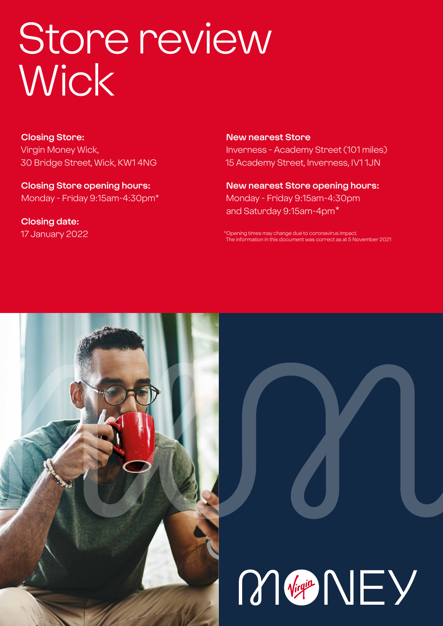# Store review Wick

**Closing Store:** Virgin Money Wick, 30 Bridge Street, Wick, KW1 4NG

**Closing Store opening hours:**  Monday - Friday 9:15am-4:30pm\*

**Closing date:**  17 January 2022

**New nearest Store** Inverness - Academy Street (101 miles) 15 Academy Street, Inverness, IV1 1JN

**New nearest Store opening hours:** Monday - Friday 9:15am-4:30pm and Saturday 9:15am-4pm\*

\*Opening times may change due to coronavirus impact. The information in this document was correct as at 5 November 2021



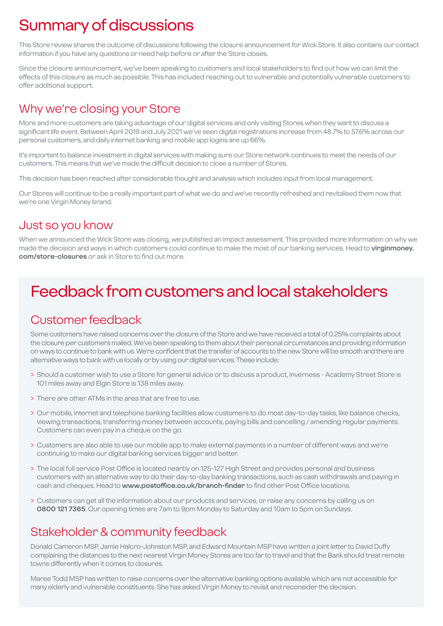# Summary of discussions

This Store review shares the outcome of discussions following the closure announcement for Wick Store. It also contains our contact information if you have any questions or need help before or after the Store closes.

Since the closure announcement, we've been speaking to customers and local stakeholders to find out how we can limit the effects of this closure as much as possible. This has included reaching out to vulnerable and potentially vulnerable customers to offer additional support.

### Why we're closing your Store

More and more customers are taking advantage of our digital services and only visiting Stores when they want to discuss a significant life event. Between April 2019 and July 2021 we've seen digital registrations increase from 48.7% to 57.6% across our personal customers, and daily internet banking and mobile app logins are up 66%.

It's important to balance investment in digital services with making sure our Store network continues to meet the needs of our customers. This means that we've made the difficult decision to close a number of Stores.

This decision has been reached after considerable thought and analysis which includes input from local management.

Our Stores will continue to be a really important part of what we do and we've recently refreshed and revitalised them now that we're one Virgin Money brand.

### Just so you know

When we announced the Wick Store was closing, we published an impact assessment. This provided more information on why we made the decision and ways in which customers could continue to make the most of our banking services. Head to **virginmoney. com/store-closures** or ask in Store to find out more.

# Feedback from customers and local stakeholders

### Customer feedback

Some customers have raised concerns over the closure of the Store and we have received a total of 0.25% complaints about the closure per customers mailed. We've been speaking to them about their personal circumstances and providing information on ways to continue to bank with us. We're confident that the transfer of accounts to the new Store will be smooth and there are alternative ways to bank with us locally or by using our digital services. These include:

- > Should a customer wish to use a Store for general advice or to discuss a product, Inverness Academy Street Store is 101 miles away and Elgin Store is 138 miles away.
- > There are other ATMs in the area that are free to use.
- > Our mobile, internet and telephone banking facilities allow customers to do most day-to-day tasks, like balance checks, viewing transactions, transferring money between accounts, paying bills and cancelling / amending regular payments. Customers can even pay in a cheque on the go.
- > Customers are also able to use our mobile app to make external payments in a number of different ways and we're continuing to make our digital banking services bigger and better.
- > The local full service Post Office is located nearby on 125-127 High Street and provides personal and business customers with an alternative way to do their day-to-day banking transactions, such as cash withdrawals and paying in cash and cheques. Head to **www.postoffice.co.uk/branch-finder** to find other Post Office locations.
- > Customers can get all the information about our products and services, or raise any concerns by calling us on **0800 121 7365**. Our opening times are 7am to 9pm Monday to Saturday and 10am to 5pm on Sundays.

### Stakeholder & community feedback

Donald Cameron MSP, Jamie Halcro-Johnston MSP, and Edward Mountain MSP have written a joint letter to David Duffy complaining the distances to the next nearest Virgin Money Stores are too far to travel and that the Bank should treat remote towns differently when it comes to closures.

Maree Todd MSP has written to raise concerns over the alternative banking options available which are not accessible for many elderly and vulnerable constituents. She has asked Virgin Money to revisit and reconsider the decision.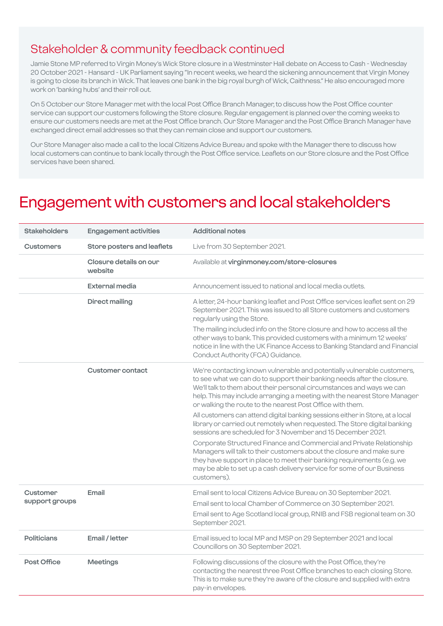### Stakeholder & community feedback continued

Jamie Stone MP referred to Virgin Money's Wick Store closure in a Westminster Hall debate on Access to Cash - Wednesday 20 October 2021 - Hansard - UK Parliament saying "In recent weeks, we heard the sickening announcement that Virgin Money is going to close its branch in Wick. That leaves one bank in the big royal burgh of Wick, Caithness." He also encouraged more work on 'banking hubs' and their roll out.

On 5 October our Store Manager met with the local Post Office Branch Manager, to discuss how the Post Office counter service can support our customers following the Store closure. Regular engagement is planned over the coming weeks to ensure our customers needs are met at the Post Office branch. Our Store Manager and the Post Office Branch Manager have exchanged direct email addresses so that they can remain close and support our customers.

Our Store Manager also made a call to the local Citizens Advice Bureau and spoke with the Manager there to discuss how local customers can continue to bank locally through the Post Office service. Leaflets on our Store closure and the Post Office services have been shared.

### Engagement with customers and local stakeholders

| <b>Stakeholders</b>        | <b>Engagement activities</b>      | <b>Additional notes</b>                                                                                                                                                                                                                                                                                                                                                |
|----------------------------|-----------------------------------|------------------------------------------------------------------------------------------------------------------------------------------------------------------------------------------------------------------------------------------------------------------------------------------------------------------------------------------------------------------------|
| <b>Customers</b>           | Store posters and leaflets        | Live from 30 September 2021.                                                                                                                                                                                                                                                                                                                                           |
|                            | Closure details on our<br>website | Available at virginmoney.com/store-closures                                                                                                                                                                                                                                                                                                                            |
|                            | External media                    | Announcement issued to national and local media outlets.                                                                                                                                                                                                                                                                                                               |
|                            | Direct mailing                    | A letter, 24-hour banking leaflet and Post Office services leaflet sent on 29<br>September 2021. This was issued to all Store customers and customers<br>regularly using the Store.                                                                                                                                                                                    |
|                            |                                   | The mailing included info on the Store closure and how to access all the<br>other ways to bank. This provided customers with a minimum 12 weeks'<br>notice in line with the UK Finance Access to Banking Standard and Financial<br>Conduct Authority (FCA) Guidance.                                                                                                   |
|                            | <b>Customer contact</b>           | We're contacting known vulnerable and potentially vulnerable customers,<br>to see what we can do to support their banking needs after the closure.<br>We'll talk to them about their personal circumstances and ways we can<br>help. This may include arranging a meeting with the nearest Store Manager<br>or walking the route to the nearest Post Office with them. |
|                            |                                   | All customers can attend digital banking sessions either in Store, at a local<br>library or carried out remotely when requested. The Store digital banking<br>sessions are scheduled for 3 November and 15 December 2021.                                                                                                                                              |
|                            |                                   | Corporate Structured Finance and Commercial and Private Relationship<br>Managers will talk to their customers about the closure and make sure<br>they have support in place to meet their banking requirements (e.g. we<br>may be able to set up a cash delivery service for some of our Business<br>customers).                                                       |
| Customer<br>support groups | Email                             | Email sent to local Citizens Advice Bureau on 30 September 2021.                                                                                                                                                                                                                                                                                                       |
|                            |                                   | Email sent to local Chamber of Commerce on 30 September 2021.<br>Email sent to Age Scotland local group, RNIB and FSB regional team on 30<br>September 2021.                                                                                                                                                                                                           |
| <b>Politicians</b>         | Email / letter                    | Email issued to local MP and MSP on 29 September 2021 and local<br>Councillors on 30 September 2021.                                                                                                                                                                                                                                                                   |
| Post Office                | <b>Meetings</b>                   | Following discussions of the closure with the Post Office, they're<br>contacting the nearest three Post Office branches to each closing Store.<br>This is to make sure they're aware of the closure and supplied with extra<br>pay-in envelopes.                                                                                                                       |